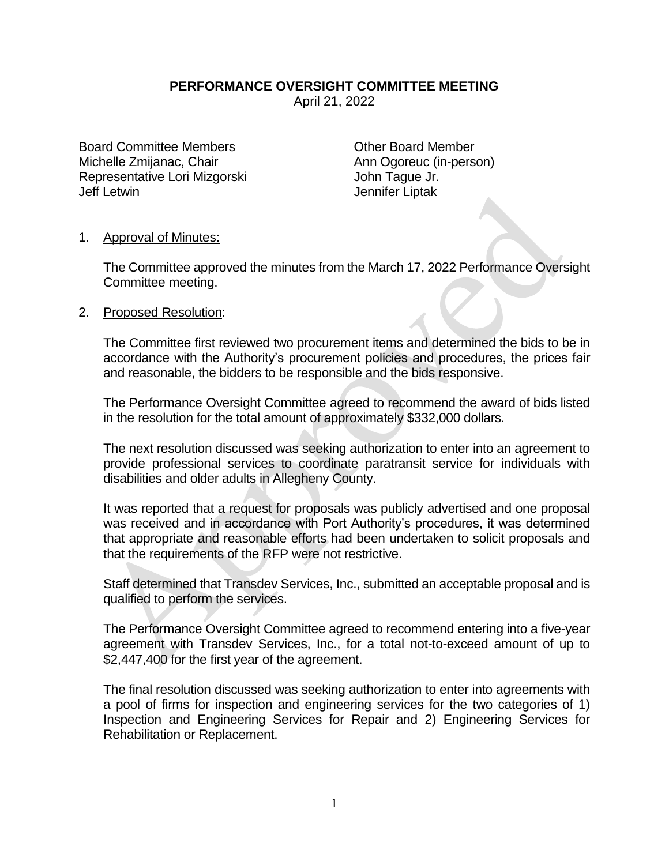## **PERFORMANCE OVERSIGHT COMMITTEE MEETING**

April 21, 2022

Board Committee Members **Committee Members** Committee Member Michelle Zmijanac, Chair **Ann Ogoreuc** (in-person) Representative Lori Mizgorski **Michael Access** John Tague Jr. Jeff Letwin Jennifer Liptak

## 1. Approval of Minutes:

The Committee approved the minutes from the March 17, 2022 Performance Oversight Committee meeting.

## 2. Proposed Resolution:

The Committee first reviewed two procurement items and determined the bids to be in accordance with the Authority's procurement policies and procedures, the prices fair and reasonable, the bidders to be responsible and the bids responsive.

The Performance Oversight Committee agreed to recommend the award of bids listed in the resolution for the total amount of approximately \$332,000 dollars.

The next resolution discussed was seeking authorization to enter into an agreement to provide professional services to coordinate paratransit service for individuals with disabilities and older adults in Allegheny County.

It was reported that a request for proposals was publicly advertised and one proposal was received and in accordance with Port Authority's procedures, it was determined that appropriate and reasonable efforts had been undertaken to solicit proposals and that the requirements of the RFP were not restrictive.

Staff determined that Transdev Services, Inc., submitted an acceptable proposal and is qualified to perform the services.

The Performance Oversight Committee agreed to recommend entering into a five-year agreement with Transdev Services, Inc., for a total not-to-exceed amount of up to \$2,447,400 for the first year of the agreement.

The final resolution discussed was seeking authorization to enter into agreements with a pool of firms for inspection and engineering services for the two categories of 1) Inspection and Engineering Services for Repair and 2) Engineering Services for Rehabilitation or Replacement.